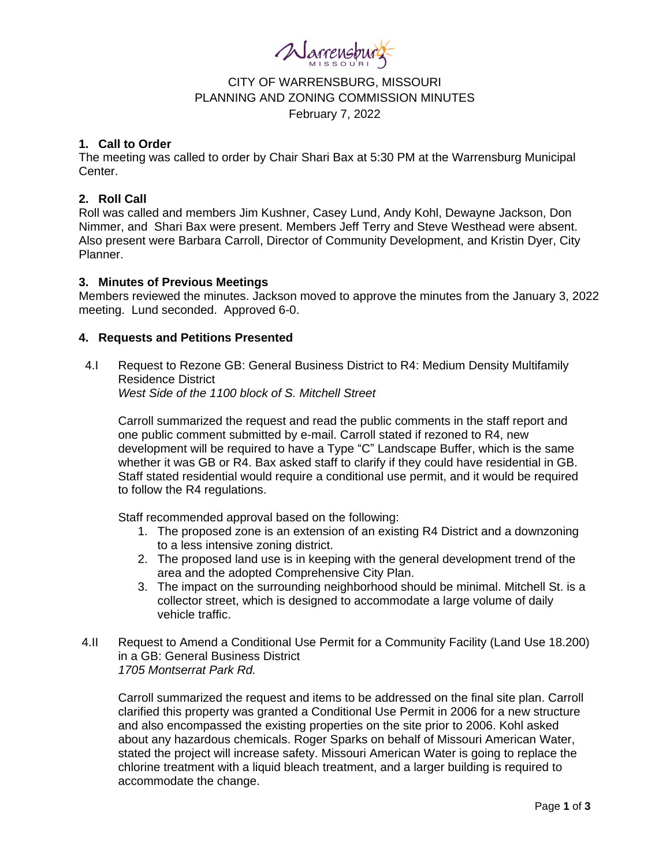

# CITY OF WARRENSBURG, MISSOURI PLANNING AND ZONING COMMISSION MINUTES February 7, 2022

### **1. Call to Order**

The meeting was called to order by Chair Shari Bax at 5:30 PM at the Warrensburg Municipal Center.

# **2. Roll Call**

Roll was called and members Jim Kushner, Casey Lund, Andy Kohl, Dewayne Jackson, Don Nimmer, and Shari Bax were present. Members Jeff Terry and Steve Westhead were absent. Also present were Barbara Carroll, Director of Community Development, and Kristin Dyer, City Planner.

#### **3. Minutes of Previous Meetings**

Members reviewed the minutes. Jackson moved to approve the minutes from the January 3, 2022 meeting. Lund seconded. Approved 6-0.

#### **4. Requests and Petitions Presented**

4.I Request to Rezone GB: General Business District to R4: Medium Density Multifamily Residence District *West Side of the 1100 block of S. Mitchell Street*

Carroll summarized the request and read the public comments in the staff report and one public comment submitted by e-mail. Carroll stated if rezoned to R4, new development will be required to have a Type "C" Landscape Buffer, which is the same whether it was GB or R4. Bax asked staff to clarify if they could have residential in GB. Staff stated residential would require a conditional use permit, and it would be required to follow the R4 regulations.

Staff recommended approval based on the following:

- 1. The proposed zone is an extension of an existing R4 District and a downzoning to a less intensive zoning district.
- 2. The proposed land use is in keeping with the general development trend of the area and the adopted Comprehensive City Plan.
- 3. The impact on the surrounding neighborhood should be minimal. Mitchell St. is a collector street, which is designed to accommodate a large volume of daily vehicle traffic.
- 4.II Request to Amend a Conditional Use Permit for a Community Facility (Land Use 18.200) in a GB: General Business District *1705 Montserrat Park Rd.*

Carroll summarized the request and items to be addressed on the final site plan. Carroll clarified this property was granted a Conditional Use Permit in 2006 for a new structure and also encompassed the existing properties on the site prior to 2006. Kohl asked about any hazardous chemicals. Roger Sparks on behalf of Missouri American Water, stated the project will increase safety. Missouri American Water is going to replace the chlorine treatment with a liquid bleach treatment, and a larger building is required to accommodate the change.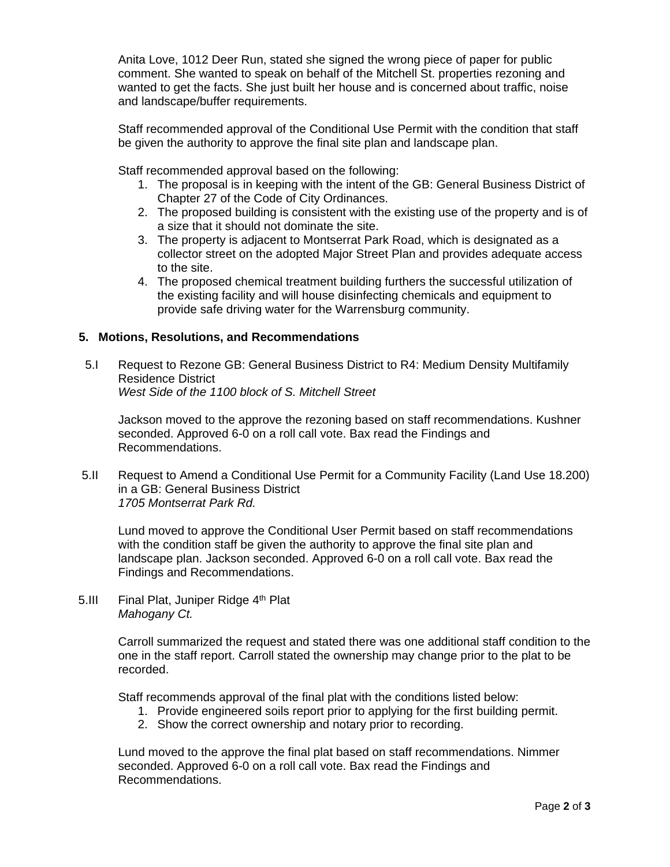Anita Love, 1012 Deer Run, stated she signed the wrong piece of paper for public comment. She wanted to speak on behalf of the Mitchell St. properties rezoning and wanted to get the facts. She just built her house and is concerned about traffic, noise and landscape/buffer requirements.

Staff recommended approval of the Conditional Use Permit with the condition that staff be given the authority to approve the final site plan and landscape plan.

Staff recommended approval based on the following:

- 1. The proposal is in keeping with the intent of the GB: General Business District of Chapter 27 of the Code of City Ordinances.
- 2. The proposed building is consistent with the existing use of the property and is of a size that it should not dominate the site.
- 3. The property is adjacent to Montserrat Park Road, which is designated as a collector street on the adopted Major Street Plan and provides adequate access to the site.
- 4. The proposed chemical treatment building furthers the successful utilization of the existing facility and will house disinfecting chemicals and equipment to provide safe driving water for the Warrensburg community.

### **5. Motions, Resolutions, and Recommendations**

5.I Request to Rezone GB: General Business District to R4: Medium Density Multifamily Residence District *West Side of the 1100 block of S. Mitchell Street*

Jackson moved to the approve the rezoning based on staff recommendations. Kushner seconded. Approved 6-0 on a roll call vote. Bax read the Findings and Recommendations.

5.II Request to Amend a Conditional Use Permit for a Community Facility (Land Use 18.200) in a GB: General Business District *1705 Montserrat Park Rd.*

Lund moved to approve the Conditional User Permit based on staff recommendations with the condition staff be given the authority to approve the final site plan and landscape plan. Jackson seconded. Approved 6-0 on a roll call vote. Bax read the Findings and Recommendations.

5.III Final Plat, Juniper Ridge 4<sup>th</sup> Plat *Mahogany Ct.*

> Carroll summarized the request and stated there was one additional staff condition to the one in the staff report. Carroll stated the ownership may change prior to the plat to be recorded.

Staff recommends approval of the final plat with the conditions listed below:

- 1. Provide engineered soils report prior to applying for the first building permit.
- 2. Show the correct ownership and notary prior to recording.

Lund moved to the approve the final plat based on staff recommendations. Nimmer seconded. Approved 6-0 on a roll call vote. Bax read the Findings and Recommendations.